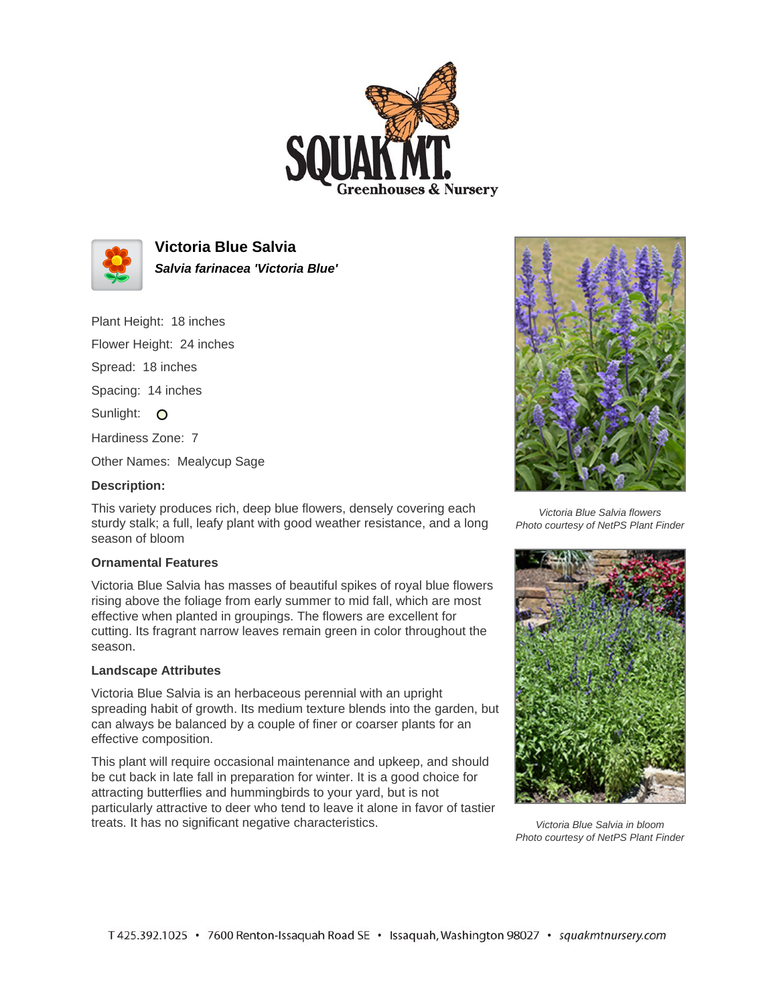



**Victoria Blue Salvia Salvia farinacea 'Victoria Blue'**

Plant Height: 18 inches

Flower Height: 24 inches

Spread: 18 inches

Spacing: 14 inches

Sunlight: O

Hardiness Zone: 7

Other Names: Mealycup Sage

## **Description:**

This variety produces rich, deep blue flowers, densely covering each sturdy stalk; a full, leafy plant with good weather resistance, and a long season of bloom

## **Ornamental Features**

Victoria Blue Salvia has masses of beautiful spikes of royal blue flowers rising above the foliage from early summer to mid fall, which are most effective when planted in groupings. The flowers are excellent for cutting. Its fragrant narrow leaves remain green in color throughout the season.

## **Landscape Attributes**

Victoria Blue Salvia is an herbaceous perennial with an upright spreading habit of growth. Its medium texture blends into the garden, but can always be balanced by a couple of finer or coarser plants for an effective composition.

This plant will require occasional maintenance and upkeep, and should be cut back in late fall in preparation for winter. It is a good choice for attracting butterflies and hummingbirds to your yard, but is not particularly attractive to deer who tend to leave it alone in favor of tastier treats. It has no significant negative characteristics.



Victoria Blue Salvia flowers Photo courtesy of NetPS Plant Finder



Victoria Blue Salvia in bloom Photo courtesy of NetPS Plant Finder